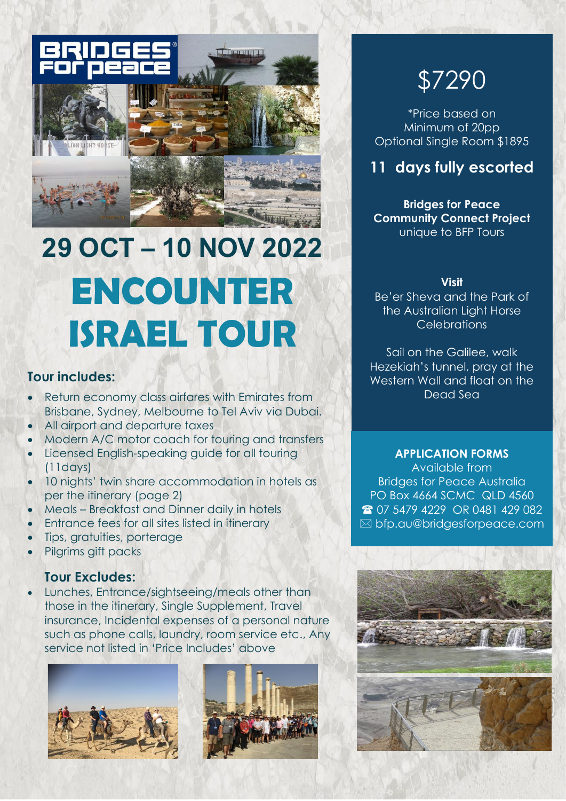

# **29 OCT – 10 NOV 2022 ENCOUNTER ISRAEL TOUR**

### **Tour includes:**

- Return economy class airfares with Emirates from Brisbane, Sydney, Melbourne to Tel Aviv via Dubai.
- All airport and departure taxes
- Modern A/C motor coach for touring and transfers
- Licensed English-speaking guide for all touring (11days)
- 10 nights' twin share accommodation in hotels as per the itinerary (page 2)
- Meals Breakfast and Dinner daily in hotels
- Entrance fees for all sites listed in itinerary
- Tips, gratuities, porterage
- Pilgrims gift packs

## **Tour Excludes:**

• Lunches, Entrance/sightseeing/meals other than those in the itinerary, Single Supplement, Travel insurance, Incidental expenses of a personal nature such as phone calls, laundry, room service etc., Any service not listed in 'Price Includes' above





# \$7290

\*Price based on Minimum of 20pp Optional Single Room \$1895

# **11 days fully escorted**

**Bridges for Peace Community Connect Project** unique to BFP Tours

#### **Visit**

Be'er Sheva and the Park of the Australian Light Horse **Celebrations** 

Sail on the Galilee, walk Hezekiah's tunnel, pray at the Western Wall and float on the Dead Sea

#### **APPLICATION FORMS**

Available from Bridges for Peace Australia PO Box 4664 SCMC QLD 4560 2 07 5479 4229 OR 0481 429 082 bfp.au@bridgesforpeace.com